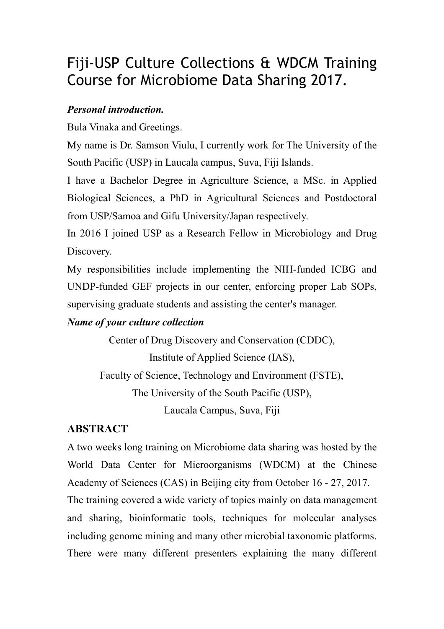# Fiji-USP Culture Collections & WDCM Training Course for Microbiome Data Sharing 2017.

#### *Personal introduction.*

Bula Vinaka and Greetings.

My name is Dr. Samson Viulu, I currently work for The University of the South Pacific (USP) in Laucala campus, Suva, Fiji Islands.

I have a Bachelor Degree in Agriculture Science, a MSc. in Applied Biological Sciences, a PhD in Agricultural Sciences and Postdoctoral from USP/Samoa and Gifu University/Japan respectively.

In 2016 I joined USP as a Research Fellow in Microbiology and Drug Discovery.

My responsibilities include implementing the NIH-funded ICBG and UNDP-funded GEF projects in our center, enforcing proper Lab SOPs, supervising graduate students and assisting the center's manager.

### *Name of your culture collection*

Center of Drug Discovery and Conservation (CDDC), Institute of Applied Science (IAS), Faculty of Science, Technology and Environment (FSTE), The University of the South Pacific (USP), Laucala Campus, Suva, Fiji

## **ABSTRACT**

A two weeks long training on Microbiome data sharing was hosted by the World Data Center for Microorganisms (WDCM) at the Chinese Academy of Sciences (CAS) in Beijing city from October 16 - 27, 2017. The training covered a wide variety of topics mainly on data management and sharing, bioinformatic tools, techniques for molecular analyses including genome mining and many other microbial taxonomic platforms. There were many different presenters explaining the many different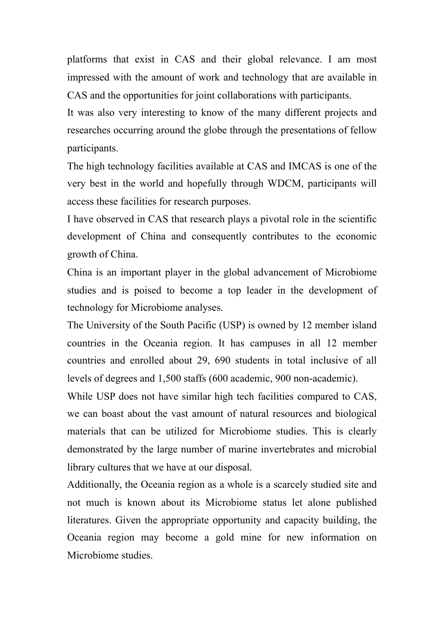platforms that exist in CAS and their global relevance. I am most impressed with the amount of work and technology that are available in CAS and the opportunities for joint collaborations with participants.

It was also very interesting to know of the many different projects and researches occurring around the globe through the presentations of fellow participants.

The high technology facilities available at CAS and IMCAS is one of the very best in the world and hopefully through WDCM, participants will access these facilities for research purposes.

I have observed in CAS that research plays a pivotal role in the scientific development of China and consequently contributes to the economic growth of China.

China is an important player in the global advancement of Microbiome studies and is poised to become a top leader in the development of technology for Microbiome analyses.

The University of the South Pacific (USP) is owned by 12 member island countries in the Oceania region. It has campuses in all 12 member countries and enrolled about 29, 690 students in total inclusive of all levels of degrees and 1,500 staffs (600 academic, 900 non-academic).

While USP does not have similar high tech facilities compared to CAS, we can boast about the vast amount of natural resources and biological materials that can be utilized for Microbiome studies. This is clearly demonstrated by the large number of marine invertebrates and microbial library cultures that we have at our disposal.

Additionally, the Oceania region as a whole is a scarcely studied site and not much is known about its Microbiome status let alone published literatures. Given the appropriate opportunity and capacity building, the Oceania region may become a gold mine for new information on Microbiome studies.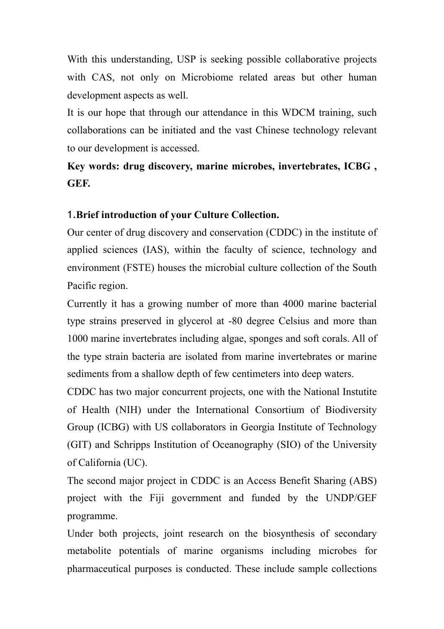With this understanding, USP is seeking possible collaborative projects with CAS, not only on Microbiome related areas but other human development aspects as well.

It is our hope that through our attendance in this WDCM training, such collaborations can be initiated and the vast Chinese technology relevant to our development is accessed.

## **Key words: drug discovery, marine microbes, invertebrates, ICBG , GEF.**

#### 1.**Brief introduction of your Culture Collection.**

Our center of drug discovery and conservation (CDDC) in the institute of applied sciences (IAS), within the faculty of science, technology and environment (FSTE) houses the microbial culture collection of the South Pacific region.

Currently it has a growing number of more than 4000 marine bacterial type strains preserved in glycerol at -80 degree Celsius and more than 1000 marine invertebrates including algae, sponges and soft corals. All of the type strain bacteria are isolated from marine invertebrates or marine sediments from a shallow depth of few centimeters into deep waters.

CDDC has two major concurrent projects, one with the National Instutite of Health (NIH) under the International Consortium of Biodiversity Group (ICBG) with US collaborators in Georgia Institute of Technology (GIT) and Schripps Institution of Oceanography (SIO) of the University of California (UC).

The second major project in CDDC is an Access Benefit Sharing (ABS) project with the Fiji government and funded by the UNDP/GEF programme.

Under both projects, joint research on the biosynthesis of secondary metabolite potentials of marine organisms including microbes for pharmaceutical purposes is conducted. These include sample collections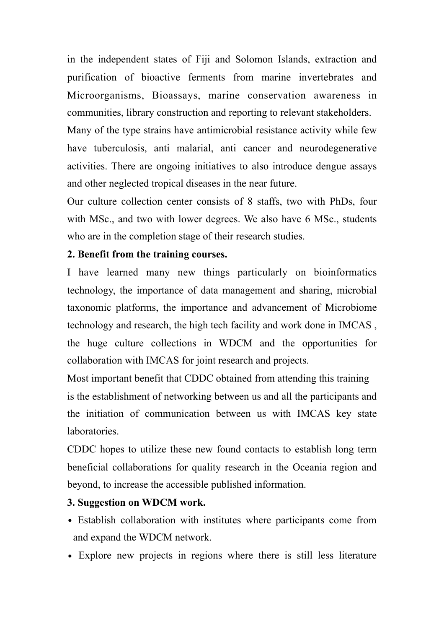in the independent states of Fiji and Solomon Islands, extraction and purification of bioactive ferments from marine invertebrates and Microorganisms, Bioassays, marine conservation awareness in communities, library construction and reporting to relevant stakeholders.

Many of the type strains have antimicrobial resistance activity while few have tuberculosis, anti malarial, anti cancer and neurodegenerative activities. There are ongoing initiatives to also introduce dengue assays and other neglected tropical diseases in the near future.

Our culture collection center consists of 8 staffs, two with PhDs, four with MSc., and two with lower degrees. We also have 6 MSc., students who are in the completion stage of their research studies.

#### **2. Benefit from the training courses.**

I have learned many new things particularly on bioinformatics technology, the importance of data management and sharing, microbial taxonomic platforms, the importance and advancement of Microbiome technology and research, the high tech facility and work done in IMCAS , the huge culture collections in WDCM and the opportunities for collaboration with IMCAS for joint research and projects.

Most important benefit that CDDC obtained from attending this training is the establishment of networking between us and all the participants and the initiation of communication between us with IMCAS key state **laboratories** 

CDDC hopes to utilize these new found contacts to establish long term beneficial collaborations for quality research in the Oceania region and beyond, to increase the accessible published information.

#### **3. Suggestion on WDCM work.**

- Establish collaboration with institutes where participants come from and expand the WDCM network.
- Explore new projects in regions where there is still less literature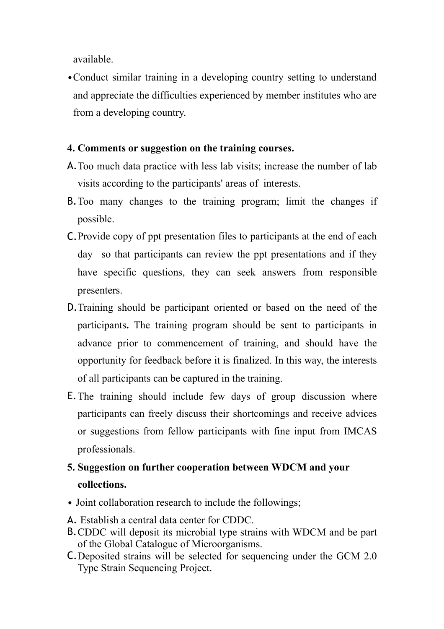available.

•Conduct similar training in a developing country setting to understand and appreciate the difficulties experienced by member institutes who are from a developing country.

#### **4. Comments or suggestion on the training courses.**

- A.Too much data practice with less lab visits; increase the number of lab visits according to the participants' areas of interests.
- B.Too many changes to the training program; limit the changes if possible.
- C.Provide copy of ppt presentation files to participants at the end of each day so that participants can review the ppt presentations and if they have specific questions, they can seek answers from responsible presenters.
- D.Training should be participant oriented or based on the need of the participants**.** The training program should be sent to participants in advance prior to commencement of training, and should have the opportunity for feedback before it is finalized. In this way, the interests of all participants can be captured in the training.
- E.The training should include few days of group discussion where participants can freely discuss their shortcomings and receive advices or suggestions from fellow participants with fine input from IMCAS professionals.

# **5. Suggestion on further cooperation between WDCM and your collections.**

- Joint collaboration research to include the followings;
- A. Establish a central data center for CDDC.
- B.CDDC will deposit its microbial type strains with WDCM and be part of the Global Catalogue of Microorganisms.
- C.Deposited strains will be selected for sequencing under the GCM 2.0 Type Strain Sequencing Project.